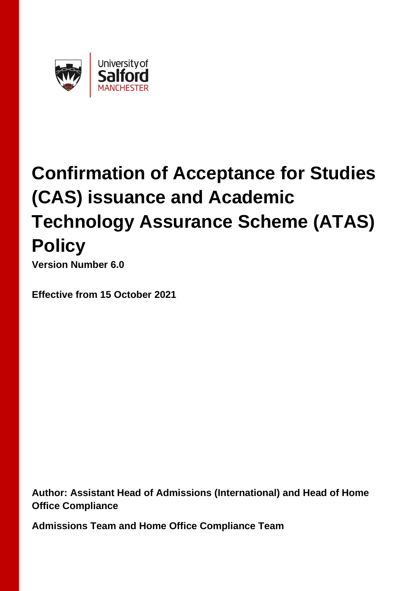

# **Confirmation of Acceptance for Studies (CAS) issuance and Academic Technology Assurance Scheme (ATAS) Policy**

**Version Number 6.0**

**Effective from 15 October 2021**

**Author: Assistant Head of Admissions (International) and Head of Home Office Compliance**

**Admissions Team and Home Office Compliance Team**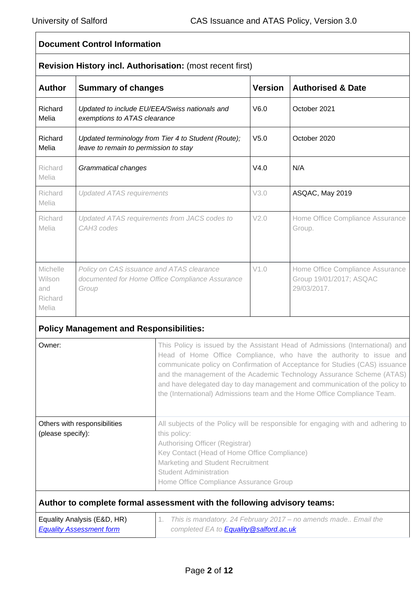#### **Document Control Information Revision History incl. Authorisation:** (most recent first) **Author Summary of changes Version Authorised & Date** Richard Melia *Updated to include EU/EEA/Swiss nationals and exemptions to ATAS clearance* V6.0 October 2021 Richard Melia *Updated terminology from Tier 4 to Student (Route); leave to remain to permission to stay* V5.0 October 2020 Richard Melia *Grammatical changes*  $\vert$  V4.0  $\vert$  N/A Richard Melia *Updated ATAS requirements* V3.0 ASQAC, May 2019 Richard Melia *Updated ATAS requirements from JACS codes to CAH3 codes* V2.0 Home Office Compliance Assurance Group. Michelle Wilson and Richard Melia *Policy on CAS issuance and ATAS clearance documented for Home Office Compliance Assurance Group* V1.0 Home Office Compliance Assurance Group 19/01/2017; ASQAC 29/03/2017.

## **Policy Management and Responsibilities:**

| Owner:                                               | This Policy is issued by the Assistant Head of Admissions (International) and<br>Head of Home Office Compliance, who have the authority to issue and<br>communicate policy on Confirmation of Acceptance for Studies (CAS) issuance<br>and the management of the Academic Technology Assurance Scheme (ATAS)<br>and have delegated day to day management and communication of the policy to<br>the (International) Admissions team and the Home Office Compliance Team. |
|------------------------------------------------------|-------------------------------------------------------------------------------------------------------------------------------------------------------------------------------------------------------------------------------------------------------------------------------------------------------------------------------------------------------------------------------------------------------------------------------------------------------------------------|
| Others with responsibilities<br>(please specify):    | All subjects of the Policy will be responsible for engaging with and adhering to<br>this policy:<br>Authorising Officer (Registrar)<br>Key Contact (Head of Home Office Compliance)<br>Marketing and Student Recruitment<br><b>Student Administration</b><br>Home Office Compliance Assurance Group                                                                                                                                                                     |
| $\Gamma$ auglitu Anglucio ( $\Gamma$ O $\Gamma$ LID) | Author to complete formal assessment with the following advisory teams:<br>This is mondatory 01 Fabruary 0017 no amondo mode. Froil the                                                                                                                                                                                                                                                                                                                                 |

| Equality Analysis (E&D, HR)     | 1. This is mandatory. 24 February 2017 – no amends made Email the |
|---------------------------------|-------------------------------------------------------------------|
| <b>Equality Assessment form</b> | completed EA to <b>Equality @salford.ac.uk</b>                    |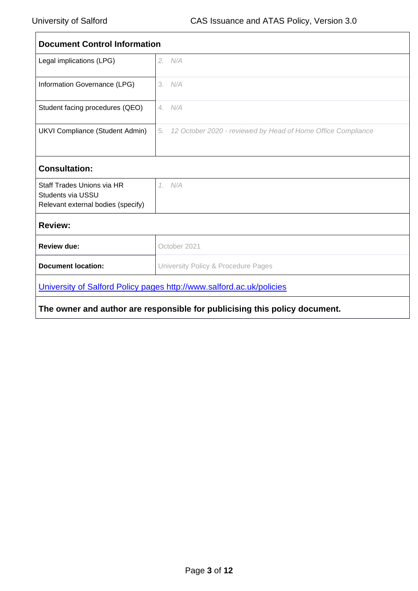$\blacksquare$ 

| <b>Document Control Information</b>                                                          |                                                                    |  |  |
|----------------------------------------------------------------------------------------------|--------------------------------------------------------------------|--|--|
| Legal implications (LPG)                                                                     | 2. N/A                                                             |  |  |
| Information Governance (LPG)                                                                 | 3. N/A                                                             |  |  |
| Student facing procedures (QEO)                                                              | 4. N/A                                                             |  |  |
| <b>UKVI Compliance (Student Admin)</b>                                                       | 12 October 2020 - reviewed by Head of Home Office Compliance<br>5. |  |  |
| <b>Consultation:</b>                                                                         |                                                                    |  |  |
| Staff Trades Unions via HR<br><b>Students via USSU</b><br>Relevant external bodies (specify) | 1. N/A                                                             |  |  |
| <b>Review:</b>                                                                               |                                                                    |  |  |
| <b>Review due:</b>                                                                           | October 2021                                                       |  |  |
| <b>Document location:</b>                                                                    | University Policy & Procedure Pages                                |  |  |
| University of Salford Policy pages http://www.salford.ac.uk/policies                         |                                                                    |  |  |
| The owner and author are responsible for publicising this policy document.                   |                                                                    |  |  |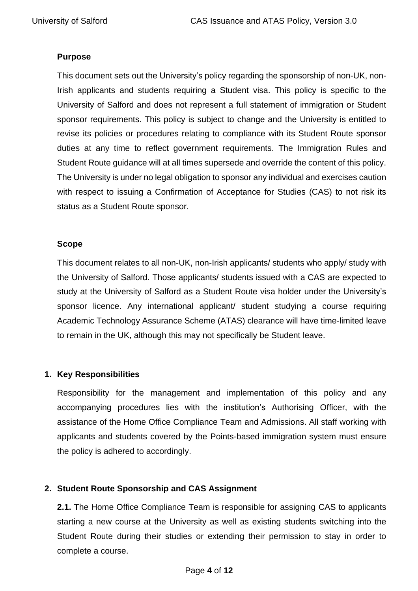## **Purpose**

This document sets out the University's policy regarding the sponsorship of non-UK, non-Irish applicants and students requiring a Student visa. This policy is specific to the University of Salford and does not represent a full statement of immigration or Student sponsor requirements. This policy is subject to change and the University is entitled to revise its policies or procedures relating to compliance with its Student Route sponsor duties at any time to reflect government requirements. The Immigration Rules and Student Route guidance will at all times supersede and override the content of this policy. The University is under no legal obligation to sponsor any individual and exercises caution with respect to issuing a Confirmation of Acceptance for Studies (CAS) to not risk its status as a Student Route sponsor.

### **Scope**

This document relates to all non-UK, non-Irish applicants/ students who apply/ study with the University of Salford. Those applicants/ students issued with a CAS are expected to study at the University of Salford as a Student Route visa holder under the University's sponsor licence. Any international applicant/ student studying a course requiring Academic Technology Assurance Scheme (ATAS) clearance will have time-limited leave to remain in the UK, although this may not specifically be Student leave.

## **1. Key Responsibilities**

Responsibility for the management and implementation of this policy and any accompanying procedures lies with the institution's Authorising Officer, with the assistance of the Home Office Compliance Team and Admissions. All staff working with applicants and students covered by the Points-based immigration system must ensure the policy is adhered to accordingly.

## **2. Student Route Sponsorship and CAS Assignment**

**2.1.** The Home Office Compliance Team is responsible for assigning CAS to applicants starting a new course at the University as well as existing students switching into the Student Route during their studies or extending their permission to stay in order to complete a course.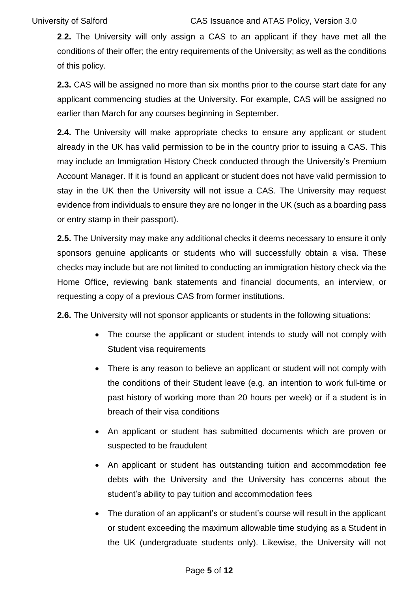**2**.**2.** The University will only assign a CAS to an applicant if they have met all the conditions of their offer; the entry requirements of the University; as well as the conditions of this policy.

**2.3.** CAS will be assigned no more than six months prior to the course start date for any applicant commencing studies at the University. For example, CAS will be assigned no earlier than March for any courses beginning in September.

**2.4.** The University will make appropriate checks to ensure any applicant or student already in the UK has valid permission to be in the country prior to issuing a CAS. This may include an Immigration History Check conducted through the University's Premium Account Manager. If it is found an applicant or student does not have valid permission to stay in the UK then the University will not issue a CAS. The University may request evidence from individuals to ensure they are no longer in the UK (such as a boarding pass or entry stamp in their passport).

**2.5.** The University may make any additional checks it deems necessary to ensure it only sponsors genuine applicants or students who will successfully obtain a visa. These checks may include but are not limited to conducting an immigration history check via the Home Office, reviewing bank statements and financial documents, an interview, or requesting a copy of a previous CAS from former institutions.

**2.6.** The University will not sponsor applicants or students in the following situations:

- The course the applicant or student intends to study will not comply with Student visa requirements
- There is any reason to believe an applicant or student will not comply with the conditions of their Student leave (e.g. an intention to work full-time or past history of working more than 20 hours per week) or if a student is in breach of their visa conditions
- An applicant or student has submitted documents which are proven or suspected to be fraudulent
- An applicant or student has outstanding tuition and accommodation fee debts with the University and the University has concerns about the student's ability to pay tuition and accommodation fees
- The duration of an applicant's or student's course will result in the applicant or student exceeding the maximum allowable time studying as a Student in the UK (undergraduate students only). Likewise, the University will not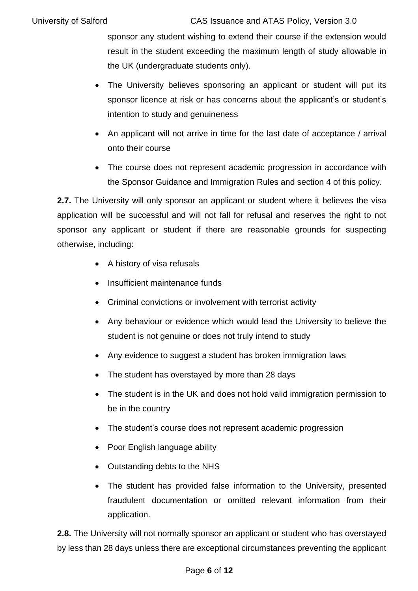sponsor any student wishing to extend their course if the extension would result in the student exceeding the maximum length of study allowable in the UK (undergraduate students only).

- The University believes sponsoring an applicant or student will put its sponsor licence at risk or has concerns about the applicant's or student's intention to study and genuineness
- An applicant will not arrive in time for the last date of acceptance / arrival onto their course
- The course does not represent academic progression in accordance with the Sponsor Guidance and Immigration Rules and section 4 of this policy.

**2.7.** The University will only sponsor an applicant or student where it believes the visa application will be successful and will not fall for refusal and reserves the right to not sponsor any applicant or student if there are reasonable grounds for suspecting otherwise, including:

- A history of visa refusals
- Insufficient maintenance funds
- Criminal convictions or involvement with terrorist activity
- Any behaviour or evidence which would lead the University to believe the student is not genuine or does not truly intend to study
- Any evidence to suggest a student has broken immigration laws
- The student has overstayed by more than 28 days
- The student is in the UK and does not hold valid immigration permission to be in the country
- The student's course does not represent academic progression
- Poor English language ability
- Outstanding debts to the NHS
- The student has provided false information to the University, presented fraudulent documentation or omitted relevant information from their application.

**2.8.** The University will not normally sponsor an applicant or student who has overstayed by less than 28 days unless there are exceptional circumstances preventing the applicant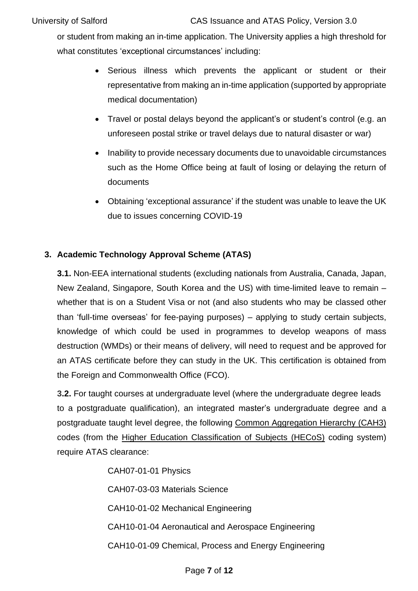or student from making an in-time application. The University applies a high threshold for what constitutes 'exceptional circumstances' including:

- Serious illness which prevents the applicant or student or their representative from making an in-time application (supported by appropriate medical documentation)
- Travel or postal delays beyond the applicant's or student's control (e.g. an unforeseen postal strike or travel delays due to natural disaster or war)
- Inability to provide necessary documents due to unavoidable circumstances such as the Home Office being at fault of losing or delaying the return of documents
- Obtaining 'exceptional assurance' if the student was unable to leave the UK due to issues concerning COVID-19

## **3. Academic Technology Approval Scheme (ATAS)**

**3.1.** Non-EEA international students (excluding nationals from Australia, Canada, Japan, New Zealand, Singapore, South Korea and the US) with time-limited leave to remain – whether that is on a Student Visa or not (and also students who may be classed other than 'full-time overseas' for fee-paying purposes) – applying to study certain subjects, knowledge of which could be used in programmes to develop weapons of mass destruction (WMDs) or their means of delivery, will need to request and be approved for an ATAS certificate before they can study in the UK. This certification is obtained from the Foreign and Commonwealth Office (FCO).

**3.2.** For taught courses at undergraduate level (where the undergraduate degree leads to a postgraduate qualification), an integrated master's undergraduate degree and a postgraduate taught level degree, the following Common [Aggregation](https://www.hesa.ac.uk/files/HECoS-CAH%20Version%201.2.xlsx) Hierarchy (CAH3) codes (from the Higher Education [Classification](https://www.hesa.ac.uk/innovation/hecos) of Subjects (HECoS) coding system) require ATAS clearance:

> CAH07-01-01 Physics CAH07-03-03 Materials Science CAH10-01-02 Mechanical Engineering CAH10-01-04 Aeronautical and Aerospace Engineering CAH10-01-09 Chemical, Process and Energy Engineering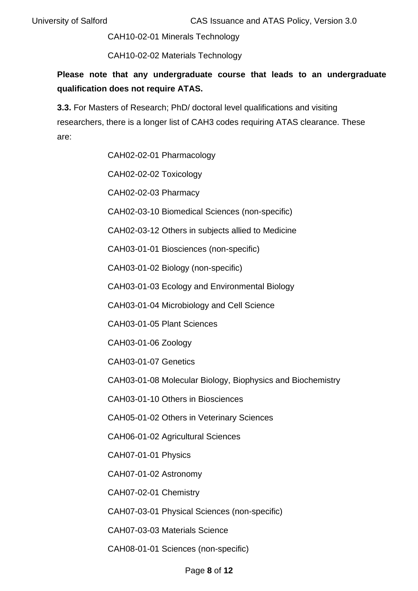CAH10-02-01 Minerals Technology

CAH10-02-02 Materials Technology

**Please note that any undergraduate course that leads to an undergraduate qualification does not require ATAS.**

**3.3.** For Masters of Research; PhD/ doctoral level qualifications and visiting researchers, there is a longer list of CAH3 codes requiring ATAS clearance. These are:

CAH02-02-01 Pharmacology

CAH02-02-02 Toxicology

CAH02-02-03 Pharmacy

CAH02-03-10 Biomedical Sciences (non-specific)

CAH02-03-12 Others in subjects allied to Medicine

CAH03-01-01 Biosciences (non-specific)

CAH03-01-02 Biology (non-specific)

CAH03-01-03 Ecology and Environmental Biology

CAH03-01-04 Microbiology and Cell Science

CAH03-01-05 Plant Sciences

CAH03-01-06 Zoology

CAH03-01-07 Genetics

CAH03-01-08 Molecular Biology, Biophysics and Biochemistry

CAH03-01-10 Others in Biosciences

CAH05-01-02 Others in Veterinary Sciences

CAH06-01-02 Agricultural Sciences

CAH07-01-01 Physics

CAH07-01-02 Astronomy

CAH07-02-01 Chemistry

CAH07-03-01 Physical Sciences (non-specific)

CAH07-03-03 Materials Science

CAH08-01-01 Sciences (non-specific)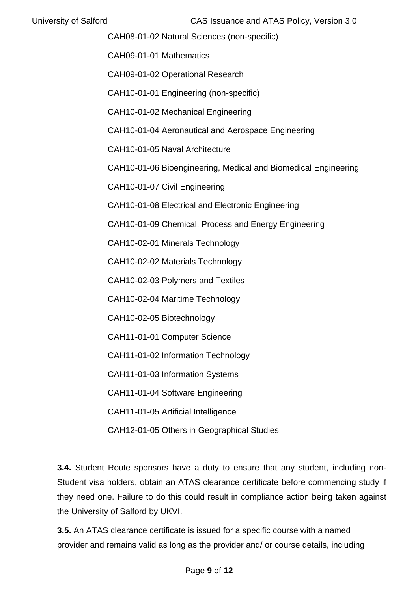CAH08-01-02 Natural Sciences (non-specific)

CAH09-01-01 Mathematics

CAH09-01-02 Operational Research

CAH10-01-01 Engineering (non-specific)

CAH10-01-02 Mechanical Engineering

CAH10-01-04 Aeronautical and Aerospace Engineering

CAH10-01-05 Naval Architecture

CAH10-01-06 Bioengineering, Medical and Biomedical Engineering

CAH10-01-07 Civil Engineering

CAH10-01-08 Electrical and Electronic Engineering

CAH10-01-09 Chemical, Process and Energy Engineering

CAH10-02-01 Minerals Technology

CAH10-02-02 Materials Technology

CAH10-02-03 Polymers and Textiles

CAH10-02-04 Maritime Technology

CAH10-02-05 Biotechnology

CAH11-01-01 Computer Science

CAH11-01-02 Information Technology

CAH11-01-03 Information Systems

CAH11-01-04 Software Engineering

CAH11-01-05 Artificial Intelligence

CAH12-01-05 Others in Geographical Studies

**3.4.** Student Route sponsors have a duty to ensure that any student, including non-Student visa holders, obtain an ATAS clearance certificate before commencing study if they need one. Failure to do this could result in compliance action being taken against the University of Salford by UKVI.

**3.5.** An ATAS clearance certificate is issued for a specific course with a named provider and remains valid as long as the provider and/ or course details, including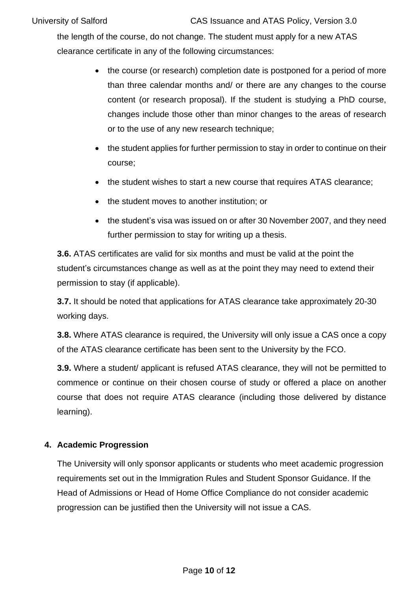the length of the course, do not change. The student must apply for a new ATAS clearance certificate in any of the following circumstances:

- the course (or research) completion date is postponed for a period of more than three calendar months and/ or there are any changes to the course content (or research proposal). If the student is studying a PhD course, changes include those other than minor changes to the areas of research or to the use of any new research technique;
- the student applies for further permission to stay in order to continue on their course;
- the student wishes to start a new course that requires ATAS clearance;
- the student moves to another institution; or
- the student's visa was issued on or after 30 November 2007, and they need further permission to stay for writing up a thesis.

**3.6.** ATAS certificates are valid for six months and must be valid at the point the student's circumstances change as well as at the point they may need to extend their permission to stay (if applicable).

**3.7.** It should be noted that applications for ATAS clearance take approximately 20-30 working days.

**3.8.** Where ATAS clearance is required, the University will only issue a CAS once a copy of the ATAS clearance certificate has been sent to the University by the FCO.

**3.9.** Where a student/ applicant is refused ATAS clearance, they will not be permitted to commence or continue on their chosen course of study or offered a place on another course that does not require ATAS clearance (including those delivered by distance learning).

## **4. Academic Progression**

The University will only sponsor applicants or students who meet academic progression requirements set out in the Immigration Rules and Student Sponsor Guidance. If the Head of Admissions or Head of Home Office Compliance do not consider academic progression can be justified then the University will not issue a CAS.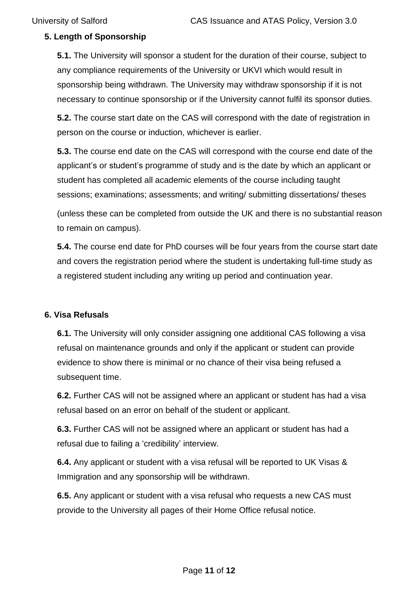## **5. Length of Sponsorship**

**5.1.** The University will sponsor a student for the duration of their course, subject to any compliance requirements of the University or UKVI which would result in sponsorship being withdrawn. The University may withdraw sponsorship if it is not necessary to continue sponsorship or if the University cannot fulfil its sponsor duties.

**5.2.** The course start date on the CAS will correspond with the date of registration in person on the course or induction, whichever is earlier.

**5.3.** The course end date on the CAS will correspond with the course end date of the applicant's or student's programme of study and is the date by which an applicant or student has completed all academic elements of the course including taught sessions; examinations; assessments; and writing/ submitting dissertations/ theses

(unless these can be completed from outside the UK and there is no substantial reason to remain on campus).

**5.4.** The course end date for PhD courses will be four years from the course start date and covers the registration period where the student is undertaking full-time study as a registered student including any writing up period and continuation year.

#### **6. Visa Refusals**

**6.1.** The University will only consider assigning one additional CAS following a visa refusal on maintenance grounds and only if the applicant or student can provide evidence to show there is minimal or no chance of their visa being refused a subsequent time.

**6.2.** Further CAS will not be assigned where an applicant or student has had a visa refusal based on an error on behalf of the student or applicant.

**6.3.** Further CAS will not be assigned where an applicant or student has had a refusal due to failing a 'credibility' interview.

**6.4.** Any applicant or student with a visa refusal will be reported to UK Visas & Immigration and any sponsorship will be withdrawn.

**6.5.** Any applicant or student with a visa refusal who requests a new CAS must provide to the University all pages of their Home Office refusal notice.